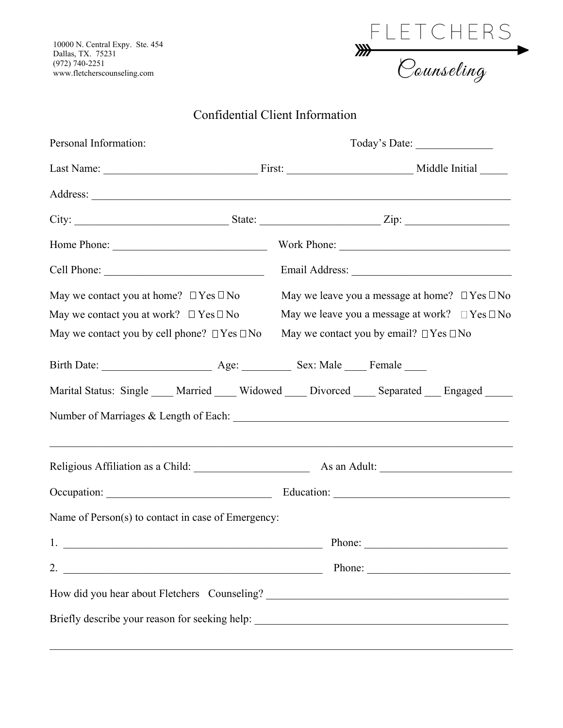10000 N. Central Expy. Ste. 454 Dallas, TX. 75231 (972) 740-2251 www.fletcherscounseling.com



## Confidential Client Information

| Personal Information:                                                                                                                                                                                                                                                                                                  |  | Today's Date:                                                                                                                                                                                                                                                                                                                                                                                                |  |  |
|------------------------------------------------------------------------------------------------------------------------------------------------------------------------------------------------------------------------------------------------------------------------------------------------------------------------|--|--------------------------------------------------------------------------------------------------------------------------------------------------------------------------------------------------------------------------------------------------------------------------------------------------------------------------------------------------------------------------------------------------------------|--|--|
|                                                                                                                                                                                                                                                                                                                        |  |                                                                                                                                                                                                                                                                                                                                                                                                              |  |  |
|                                                                                                                                                                                                                                                                                                                        |  |                                                                                                                                                                                                                                                                                                                                                                                                              |  |  |
|                                                                                                                                                                                                                                                                                                                        |  |                                                                                                                                                                                                                                                                                                                                                                                                              |  |  |
|                                                                                                                                                                                                                                                                                                                        |  |                                                                                                                                                                                                                                                                                                                                                                                                              |  |  |
|                                                                                                                                                                                                                                                                                                                        |  |                                                                                                                                                                                                                                                                                                                                                                                                              |  |  |
| May we contact you at home? $\Box$ Yes $\Box$ No                                                                                                                                                                                                                                                                       |  | May we leave you a message at home? $\Box$ Yes $\Box$ No                                                                                                                                                                                                                                                                                                                                                     |  |  |
| May we contact you at work? $\Box$ Yes $\Box$ No                                                                                                                                                                                                                                                                       |  | May we leave you a message at work? $\Box$ Yes $\Box$ No                                                                                                                                                                                                                                                                                                                                                     |  |  |
| May we contact you by cell phone? $\Box$ Yes $\Box$ No                                                                                                                                                                                                                                                                 |  | May we contact you by email? $\Box$ Yes $\Box$ No                                                                                                                                                                                                                                                                                                                                                            |  |  |
|                                                                                                                                                                                                                                                                                                                        |  |                                                                                                                                                                                                                                                                                                                                                                                                              |  |  |
| Marital Status: Single ____ Married ____ Widowed ____ Divorced ____ Separated ___ Engaged _____                                                                                                                                                                                                                        |  |                                                                                                                                                                                                                                                                                                                                                                                                              |  |  |
|                                                                                                                                                                                                                                                                                                                        |  |                                                                                                                                                                                                                                                                                                                                                                                                              |  |  |
|                                                                                                                                                                                                                                                                                                                        |  |                                                                                                                                                                                                                                                                                                                                                                                                              |  |  |
|                                                                                                                                                                                                                                                                                                                        |  |                                                                                                                                                                                                                                                                                                                                                                                                              |  |  |
| Name of Person(s) to contact in case of Emergency:                                                                                                                                                                                                                                                                     |  |                                                                                                                                                                                                                                                                                                                                                                                                              |  |  |
| 1.<br><u> 1989 - Johann John Stone, market fan it ferstjer fan it ferstjer fan it ferstjer fan it ferstjer fan it fers</u>                                                                                                                                                                                             |  | Phone:                                                                                                                                                                                                                                                                                                                                                                                                       |  |  |
| 2. $\frac{1}{2}$ $\frac{1}{2}$ $\frac{1}{2}$ $\frac{1}{2}$ $\frac{1}{2}$ $\frac{1}{2}$ $\frac{1}{2}$ $\frac{1}{2}$ $\frac{1}{2}$ $\frac{1}{2}$ $\frac{1}{2}$ $\frac{1}{2}$ $\frac{1}{2}$ $\frac{1}{2}$ $\frac{1}{2}$ $\frac{1}{2}$ $\frac{1}{2}$ $\frac{1}{2}$ $\frac{1}{2}$ $\frac{1}{2}$ $\frac{1}{2}$ $\frac{1}{2}$ |  | Phone: $\frac{1}{\sqrt{1-\frac{1}{2}}\sqrt{1-\frac{1}{2}}\sqrt{1-\frac{1}{2}}\sqrt{1-\frac{1}{2}}\sqrt{1-\frac{1}{2}}\sqrt{1-\frac{1}{2}}\sqrt{1-\frac{1}{2}}\sqrt{1-\frac{1}{2}}\sqrt{1-\frac{1}{2}}\sqrt{1-\frac{1}{2}}\sqrt{1-\frac{1}{2}}\sqrt{1-\frac{1}{2}}\sqrt{1-\frac{1}{2}}\sqrt{1-\frac{1}{2}}\sqrt{1-\frac{1}{2}}\sqrt{1-\frac{1}{2}}\sqrt{1-\frac{1}{2}}\sqrt{1-\frac{1}{2}}\sqrt{1-\frac{1}{2$ |  |  |
| How did you hear about Fletchers Counseling? ___________________________________                                                                                                                                                                                                                                       |  |                                                                                                                                                                                                                                                                                                                                                                                                              |  |  |
| Briefly describe your reason for seeking help: _________________________________                                                                                                                                                                                                                                       |  |                                                                                                                                                                                                                                                                                                                                                                                                              |  |  |

 $\_$  , and the set of the set of the set of the set of the set of the set of the set of the set of the set of the set of the set of the set of the set of the set of the set of the set of the set of the set of the set of th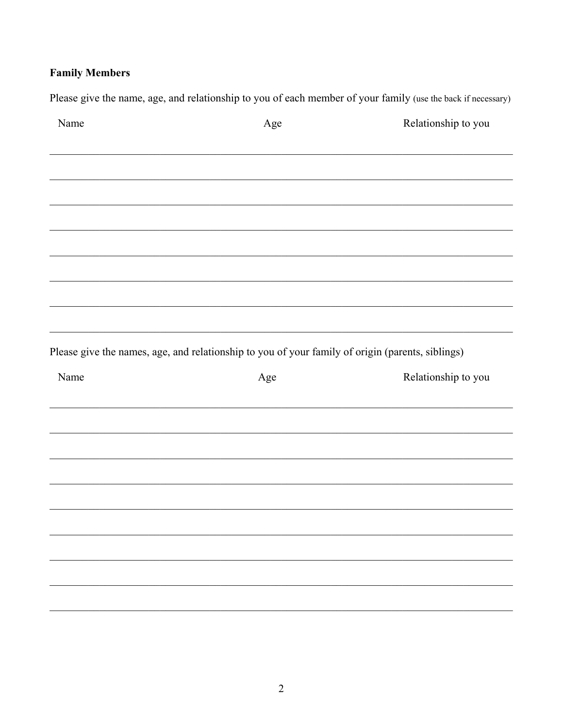## **Family Members**

Please give the name, age, and relationship to you of each member of your family (use the back if necessary) Relationship to you Name Age Please give the names, age, and relationship to you of your family of origin (parents, siblings) Name Age Relationship to you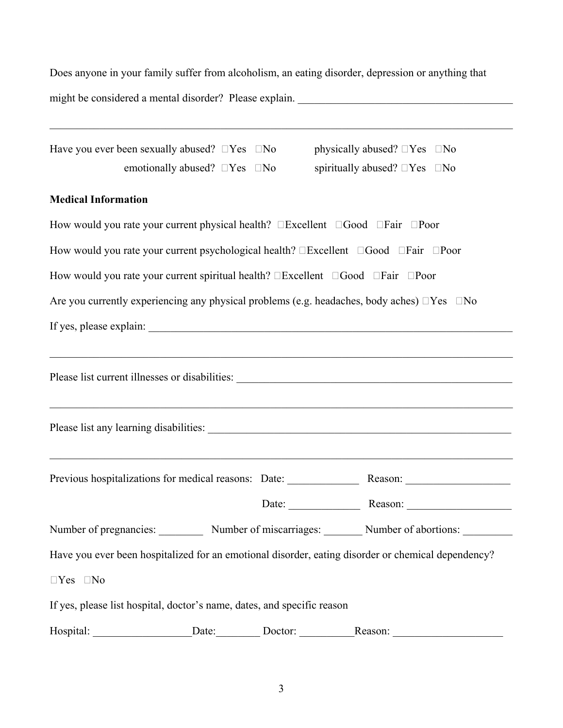Does anyone in your family suffer from alcoholism, an eating disorder, depression or anything that might be considered a mental disorder? Please explain. \_\_\_\_\_\_\_\_\_\_\_\_\_\_\_\_\_\_\_\_\_\_\_\_\_\_\_\_\_\_\_\_\_\_\_\_\_\_\_

| Have you ever been sexually abused? $\Box$ Yes $\Box$ No                | emotionally abused? $\square$ Yes $\square$ No | physically abused? $\square$ Yes $\square$ No<br>spiritually abused? $\Box$ Yes $\Box$ No                         |
|-------------------------------------------------------------------------|------------------------------------------------|-------------------------------------------------------------------------------------------------------------------|
| <b>Medical Information</b>                                              |                                                |                                                                                                                   |
|                                                                         |                                                | How would you rate your current physical health? $\square$ Excellent $\square$ Good $\square$ Fair $\square$ Poor |
|                                                                         |                                                | How would you rate your current psychological health? <b>Excellent EGood Eair EPoor</b>                           |
|                                                                         |                                                | How would you rate your current spiritual health? <b>Excellent EGood Eair EPoor</b>                               |
|                                                                         |                                                | Are you currently experiencing any physical problems (e.g. headaches, body aches) $\Box$ Yes $\Box$ No            |
|                                                                         |                                                |                                                                                                                   |
|                                                                         |                                                |                                                                                                                   |
|                                                                         |                                                |                                                                                                                   |
|                                                                         |                                                |                                                                                                                   |
|                                                                         |                                                |                                                                                                                   |
|                                                                         |                                                | Number of pregnancies: Number of miscarriages: Number of abortions:                                               |
|                                                                         |                                                | Have you ever been hospitalized for an emotional disorder, eating disorder or chemical dependency?                |
| $\Box Yes \quad \Box No$                                                |                                                |                                                                                                                   |
| If yes, please list hospital, doctor's name, dates, and specific reason |                                                |                                                                                                                   |
|                                                                         |                                                | Hospital: ____________________Date: ____________Doctor: _________________________                                 |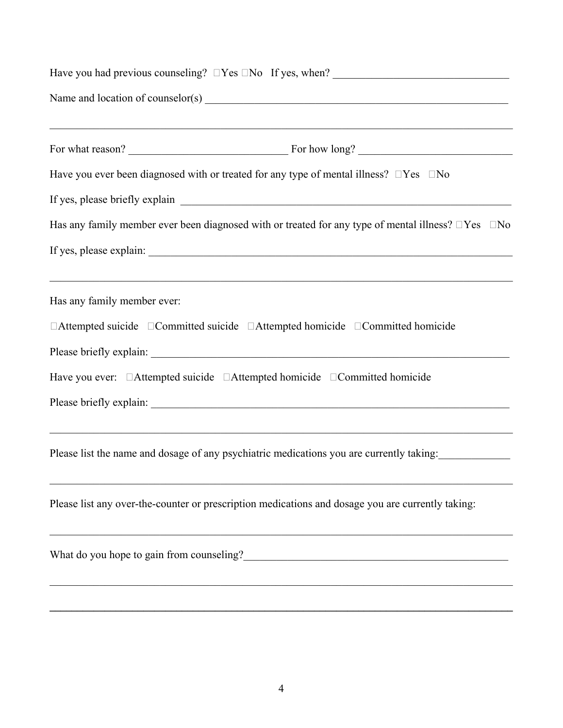| Have you ever been diagnosed with or treated for any type of mental illness? $\square$ Yes $\square$ No          |  |  |  |  |
|------------------------------------------------------------------------------------------------------------------|--|--|--|--|
|                                                                                                                  |  |  |  |  |
| Has any family member ever been diagnosed with or treated for any type of mental illness? $\Box$ Yes $\Box$ No   |  |  |  |  |
|                                                                                                                  |  |  |  |  |
| ,我们也不能在这里的时候,我们也不能在这里的时候,我们也不能会在这里的时候,我们也不能会在这里的时候,我们也不能会在这里的时候,我们也不能会在这里的时候,我们也不<br>Has any family member ever: |  |  |  |  |
| $\Box$ Attempted suicide $\Box$ Committed suicide $\Box$ Attempted homicide $\Box$ Committed homicide            |  |  |  |  |
|                                                                                                                  |  |  |  |  |
|                                                                                                                  |  |  |  |  |
|                                                                                                                  |  |  |  |  |
| Please list the name and dosage of any psychiatric medications you are currently taking:                         |  |  |  |  |
| Please list any over-the-counter or prescription medications and dosage you are currently taking:                |  |  |  |  |
| What do you hope to gain from counseling?                                                                        |  |  |  |  |
|                                                                                                                  |  |  |  |  |